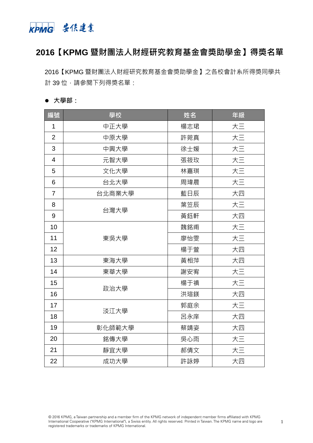

# **【KPMG 暨財團法人財經研究教育基金會獎助學金】得獎名單**

【KPMG 暨財團法人財經研究教育基金會獎助學金】之各校會計系所得獎同學共 計 39 位,請參閱下列得獎名單:

### **大學部:**

| 編號                       | 學校     | 姓名  | 年級 |
|--------------------------|--------|-----|----|
| 1                        | 中正大學   | 楊志珺 | 大三 |
| $\overline{2}$           | 中原大學   | 許菀真 | 大三 |
| 3                        | 中興大學   | 徐士媛 | 大三 |
| $\overline{\mathcal{A}}$ | 元智大學   | 張筱玫 | 大三 |
| 5                        | 文化大學   | 林嘉琪 | 大三 |
| 6                        | 台北大學   | 周瑋晨 | 大三 |
| $\overline{7}$           | 台北商業大學 | 藍日辰 | 大四 |
| 8                        | 台灣大學   | 葉笠辰 | 大三 |
| 9                        |        | 黃鈺軒 | 大四 |
| 10                       | 東吳大學   | 魏銘甫 | 大三 |
| 11                       |        | 廖怡雯 | 大三 |
| 12                       |        | 楊于萱 | 大四 |
| 13                       | 東海大學   | 黃相萍 | 大四 |
| 14                       | 東華大學   | 謝安宥 | 大三 |
| 15                       | 政治大學   | 楊于禛 | 大三 |
| 16                       |        | 洪瑄鎂 | 大四 |
| 17                       | 淡江大學   | 郭庭余 | 大三 |
| 18                       |        | 呂永庠 | 大四 |
| 19                       | 彰化師範大學 | 蔡靖姿 | 大四 |
| 20                       | 銘傳大學   | 吳心雨 | 大三 |
| 21                       | 靜宜大學   | 郝倩文 | 大三 |
| 22                       | 成功大學   | 許詠婷 | 大四 |